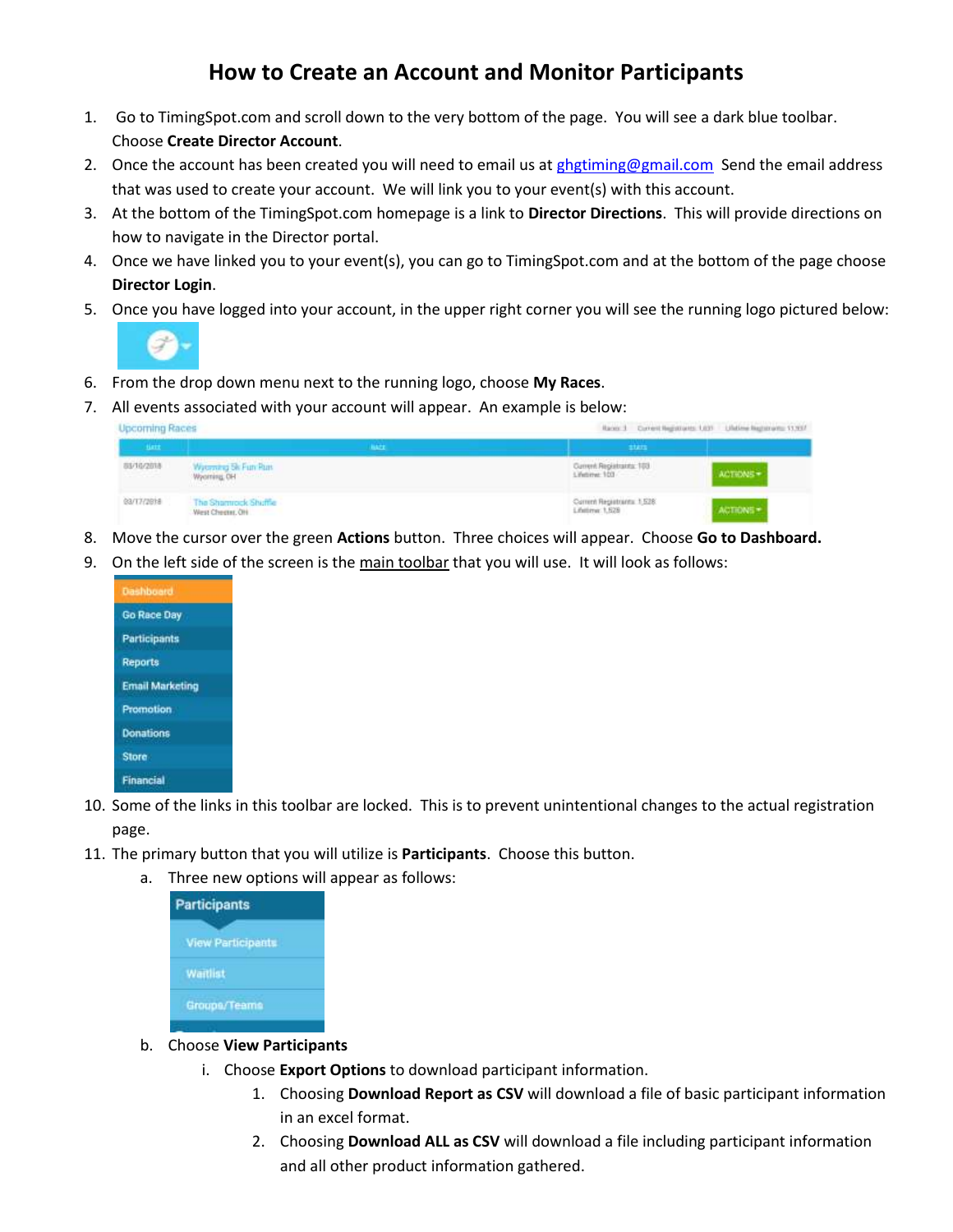## **How to Create an Account and Monitor Participants**

- 1. Go to TimingSpot.com and scroll down to the very bottom of the page. You will see a dark blue toolbar. Choose **Create Director Account**.
- 2. Once the account has been created you will need to email us a[t ghgtiming@gmail.com](mailto:ghgtiming@gmail.com) Send the email address that was used to create your account. We will link you to your event(s) with this account.
- 3. At the bottom of the TimingSpot.com homepage is a link to **Director Directions**. This will provide directions on how to navigate in the Director portal.
- 4. Once we have linked you to your event(s), you can go to TimingSpot.com and at the bottom of the page choose **Director Login**.
- 5. Once you have logged into your account, in the upper right corner you will see the running logo pictured below:



- 6. From the drop down menu next to the running logo, choose **My Races**.
- 7. All events associated with your account will appear. An example is below:

| <b>Upcoming Races</b> |                                         | Races 3 Current Registrants: USS Undime Registrants: 13,907 |           |
|-----------------------|-----------------------------------------|-------------------------------------------------------------|-----------|
| tiert.                |                                         | atam.                                                       |           |
| 8976/2018<br>335342   | Wyoming Sk Fun Russ<br>Wyoming, OH      | Current Registratity, 103<br>Lifetime 103                   | ACTIONS = |
| eart7rzeis            | The Shamrock Shuffle<br>West Cheese, OH | Current Registrants: 1,528<br>Lifetime: 1,528               |           |

- 8. Move the cursor over the green **Actions** button. Three choices will appear. Choose **Go to Dashboard.**
- 9. On the left side of the screen is the main toolbar that you will use. It will look as follows:



- 10. Some of the links in this toolbar are locked. This is to prevent unintentional changes to the actual registration page.
- 11. The primary button that you will utilize is **Participants**. Choose this button.
	- a. Three new options will appear as follows:

| <b>Participants</b>      |  |
|--------------------------|--|
| <b>View Participants</b> |  |
| <b>Waitlist</b>          |  |
| Groups/Teams             |  |

- b. Choose **View Participants**
	- i. Choose **Export Options** to download participant information.
		- 1. Choosing **Download Report as CSV** will download a file of basic participant information in an excel format.
		- 2. Choosing **Download ALL as CSV** will download a file including participant information and all other product information gathered.